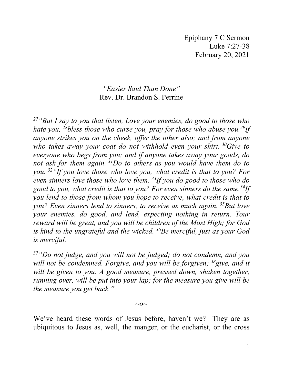Epiphany 7 C Sermon Luke 7:27-38 February 20, 2021

## *"Easier Said Than Done"* Rev. Dr. Brandon S. Perrine

*27"But I say to you that listen, Love your enemies, do good to those who hate you, 28bless those who curse you, pray for those who abuse you.29If anyone strikes you on the cheek, offer the other also; and from anyone who takes away your coat do not withhold even your shirt. 30Give to everyone who begs from you; and if anyone takes away your goods, do not ask for them again. 31Do to others as you would have them do to you. 32"If you love those who love you, what credit is that to you? For even sinners love those who love them. 33If you do good to those who do good to you, what credit is that to you? For even sinners do the same.34If you lend to those from whom you hope to receive, what credit is that to you? Even sinners lend to sinners, to receive as much again. 35But love your enemies, do good, and lend, expecting nothing in return. Your reward will be great, and you will be children of the Most High; for God is kind to the ungrateful and the wicked. 36Be merciful, just as your God is merciful.*

*37"Do not judge, and you will not be judged; do not condemn, and you will not be condemned. Forgive, and you will be forgiven; 38give, and it*  will be given to you. A good measure, pressed down, shaken together, *running over, will be put into your lap; for the measure you give will be the measure you get back."*

*~o~*

We've heard these words of Jesus before, haven't we? They are as ubiquitous to Jesus as, well, the manger, or the eucharist, or the cross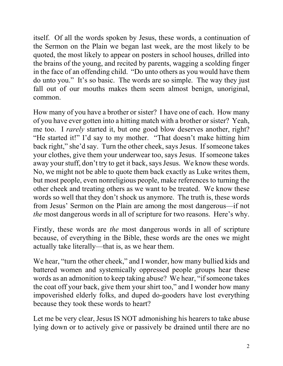itself. Of all the words spoken by Jesus, these words, a continuation of the Sermon on the Plain we began last week, are the most likely to be quoted, the most likely to appear on posters in school houses, drilled into the brains of the young, and recited by parents, wagging a scolding finger in the face of an offending child. "Do unto others as you would have them do unto you." It's so basic. The words are so simple. The way they just fall out of our mouths makes them seem almost benign, unoriginal, common.

How many of you have a brother or sister? I have one of each. How many of you have ever gotten into a hitting match with a brother or sister? Yeah, me too. I *rarely* started it, but one good blow deserves another, right? "He started it!" I'd say to my mother. "That doesn't make hitting him back right," she'd say. Turn the other cheek, says Jesus. If someone takes your clothes, give them your underwear too, says Jesus. If someone takes away your stuff, don't try to get it back, says Jesus. We know these words. No, we might not be able to quote them back exactly as Luke writes them, but most people, even nonreligious people, make references to turning the other cheek and treating others as we want to be treated. We know these words so well that they don't shock us anymore. The truth is, these words from Jesus' Sermon on the Plain are among the most dangerous—if not *the* most dangerous words in all of scripture for two reasons. Here's why.

Firstly, these words are *the* most dangerous words in all of scripture because, of everything in the Bible, these words are the ones we might actually take literally—that is, as we hear them.

We hear, "turn the other cheek," and I wonder, how many bullied kids and battered women and systemically oppressed people groups hear these words as an admonition to keep taking abuse? We hear, "if someone takes the coat off your back, give them your shirt too," and I wonder how many impoverished elderly folks, and duped do-gooders have lost everything because they took these words to heart?

Let me be very clear, Jesus IS NOT admonishing his hearers to take abuse lying down or to actively give or passively be drained until there are no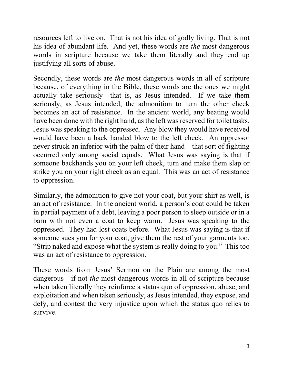resources left to live on. That is not his idea of godly living. That is not his idea of abundant life. And yet, these words are *the* most dangerous words in scripture because we take them literally and they end up justifying all sorts of abuse.

Secondly, these words are *the* most dangerous words in all of scripture because, of everything in the Bible, these words are the ones we might actually take seriously—that is, as Jesus intended. If we take them seriously, as Jesus intended, the admonition to turn the other cheek becomes an act of resistance. In the ancient world, any beating would have been done with the right hand, as the left was reserved for toilet tasks. Jesus was speaking to the oppressed. Any blow they would have received would have been a back handed blow to the left cheek. An oppressor never struck an inferior with the palm of their hand—that sort of fighting occurred only among social equals. What Jesus was saying is that if someone backhands you on your left cheek, turn and make them slap or strike you on your right cheek as an equal. This was an act of resistance to oppression.

Similarly, the admonition to give not your coat, but your shirt as well, is an act of resistance. In the ancient world, a person's coat could be taken in partial payment of a debt, leaving a poor person to sleep outside or in a barn with not even a coat to keep warm. Jesus was speaking to the oppressed. They had lost coats before. What Jesus was saying is that if someone sues you for your coat, give them the rest of your garments too. "Strip naked and expose what the system is really doing to you." This too was an act of resistance to oppression.

These words from Jesus' Sermon on the Plain are among the most dangerous—if not *the* most dangerous words in all of scripture because when taken literally they reinforce a status quo of oppression, abuse, and exploitation and when taken seriously, as Jesus intended, they expose, and defy, and contest the very injustice upon which the status quo relies to survive.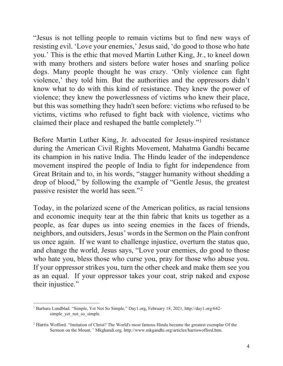"Jesus is not telling people to remain victims but to find new ways of resisting evil. 'Love your enemies,' Jesus said, 'do good to those who hate you.' This is the ethic that moved Martin Luther King, Jr., to kneel down with many brothers and sisters before water hoses and snarling police dogs. Many people thought he was crazy. 'Only violence can fight violence,' they told him. But the authorities and the oppressors didn't know what to do with this kind of resistance. They knew the power of violence; they knew the powerlessness of victims who knew their place, but this was something they hadn't seen before: victims who refused to be victims, victims who refused to fight back with violence, victims who claimed their place and reshaped the battle completely."[1](#page-3-0)

Before Martin Luther King, Jr. advocated for Jesus-inspired resistance during the American Civil Rights Movement, Mahatma Gandhi became its champion in his native India. The Hindu leader of the independence movement inspired the people of India to fight for independence from Great Britain and to, in his words, "stagger humanity without shedding a drop of blood," by following the example of "Gentle Jesus, the greatest passive resister the world has seen."[2](#page-3-1)

Today, in the polarized scene of the American politics, as racial tensions and economic inequity tear at the thin fabric that knits us together as a people, as fear dupes us into seeing enemies in the faces of friends, neighbors, and outsiders, Jesus' words in the Sermon on the Plain confront us once again. If we want to challenge injustice, overturn the status quo, and change the world, Jesus says, "Love your enemies, do good to those who hate you, bless those who curse you, pray for those who abuse you. If your oppressor strikes you, turn the other cheek and make them see you as an equal. If your oppressor takes your coat, strip naked and expose their injustice."

<span id="page-3-0"></span><sup>1</sup> Barbara Lundblad. "Simple, Yet Not So Simple," Day1.org, February 18, 2021, [http://day1.org/642](http://day1.org/642-) simple\_yet\_not\_so\_simple.

<span id="page-3-1"></span><sup>2</sup> Harris Wofford. "Imitation of Christ? The World's most famous Hindu became the greatest exemplar Of the Sermon on the Mount*,"* Mkghandi.org*,* http://www.mkgandhi.org/articles/harriswofford.htm.